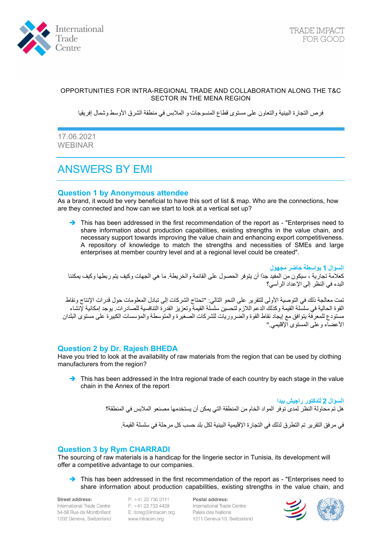

### OPPORTUNITIES FOR INTRA-REGIONAL TRADE AND COLLABORATION ALONG THE T&C SECTOR IN THE MENA REGION

فرص التجارة البینیة والتعاون على مستوى قطاع المنسوجات و الملابس في منطقة الشرق الأوسط وشمال إفریقیا

17.06.2021 WEBINAR

# ANSWERS BY EMI

## **Question 1 by Anonymous attendee**

As a brand, it would be very beneficial to have this sort of list & map. Who are the connections, how are they connected and how can we start to look at a vertical set up?

This has been addressed in the first recommendation of the report as - "Enterprises need to share information about production capabilities, existing strengths in the value chain, and necessary support towards improving the value chain and enhancing export competitiveness. A repository of knowledge to match the strengths and necessities of SMEs and large enterprises at member country level and at a regional level could be created".

**السؤال 1 بواسطة حاضر مجھول**  كعلامة تجاریة ، سیكون من المفید جدًا أن یتوفر الحصول على القائمة والخریطة. ما ھي الجھات وكیف یتم ربطھا وكیف یمكننا البدء في النظر إلى الإعداد الرأسي؟

تمت معالجة ذلك في التوصیة الأولى للتقریر على النحو التالي: "تحتاج الشركات إلى تبادل المعلوما ت حول قدرات الإنتاج ونقاط القوة الحالیة في سلسلة القیمة وكذلك الدعم اللازم لتحسین سلسلة القیمة وتعزیز القدرة التنافسیة للصادرات. یوجد إمكانیة لإنشاء مستودع للمعرفة یتوافق مع إیجاد نقاط القوة والضروریات للشركات الصغیرة والمتوسطة والمؤسسات الكبیرة على مستوى البلدان الأعضاء وعلى المستوى الإقلیمي."

## **Question 2 by Dr. Rajesh BHEDA**

Have you tried to look at the availability of raw materials from the region that can be used by clothing manufacturers from the region?

 $\rightarrow$  This has been addressed in the Intra regional trade of each country by each stage in the value chain in the Annex of the report

> **السؤال 2 للدكتور راجیش بیدا**  ھل تم محاولة النظر لمدى توفر المواد الخام من المنطقة التي یمكن أن یستخدمھا مصنعو الملابس في المنطقة؟ في مر فق التقر پر تم التطر ق لذلك في التجار ة الإقليمية البينية لكل بلد حسب كل مر حلة في سلسلة القيمة.

## **Question 3 by Rym CHARRADI**

The sourcing of raw materials is a handicap for the lingerie sector in Tunisia, its development will offer a competitive advantage to our companies.

 $\rightarrow$  This has been addressed in the first recommendation of the report as - "Enterprises need to share information about production capabilities, existing strengths in the value chain, and

Street address: International Trade Centre 54-56 Rue de Montbrillant 1202 Geneva, Switzerland

 $P: +41227300111$ F: +41 22 733 4439 E: itcreg@intracen.org www.intracen.org

Postal address: International Trade Centre Palais des Nations 1211 Geneva 10, Switzerland

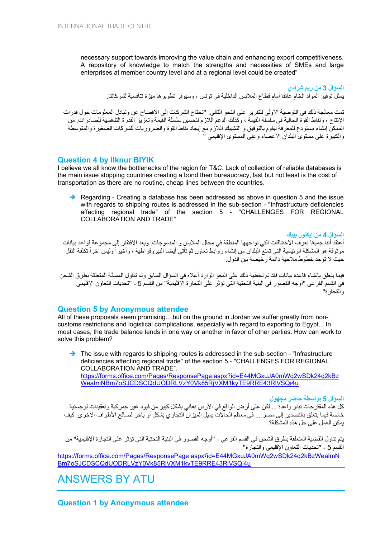necessary support towards improving the value chain and enhancing export competitiveness. A repository of knowledge to match the strengths and necessities of SMEs and large enterprises at member country level and at a regional level could be created"

**السؤال 3 من ریم شرادي**  یمثل توفیر المواد الخام عائقا أمام قطاع الملابس الداخلیة في تونس ، وسیوفر تطویرھا میزة تنافسیة لشركاتنا.

تمت معالجة ذلك في التوصیة الأولى للتقریر على النحو التالي: "تحتاج الشركات إلى الأفصاح عن وتبادل المعلومات حول قدرات الإنتاج ، ونقاط القوة الحالیة في سلسلة القیمة ، وكذلك الدعم اللازم لتحسین سلسلة القیمة وتعزیز القدرة التنافسیة للصادرات. من الممكن إنشاء مستودع للمعرفة لیقوم بالتوفیق و التشبیك اللازم مع إیجاد نقاط القوة والضروریات للشركات الصغیرة والمتوسطة والكبیرة على مستوى البلدان الأعضاء وعلى المستوى الإقلیمي "

#### **Question 4 by Ilknur BIYIK**

I believe we all know the bottlenecks of the region for T&C. Lack of collection of reliable databases is the main issue stopping countries creating a bond then bureaucracy, last but not least is the cost of transportation as there are no routine, cheap lines between the countries.

Regarding - Creating a database has been addressed as above in question 5 and the issue with regards to shipping routes is addressed in the sub-section - "Infrastructure deficiencies affecting regional trade" of the section 5 - "CHALLENGES FOR REGIONAL COLLABORATION AND TRADE"

**السؤال 4 من إیكنور بیبك** 

أعتقد أننا جميعًا نعرف الاختناقات التي تواجهها المنطقة في مجال الملابس و المنسوجات. ويعد الافتقار إلي مجموعة قواعد بيانات موثوقة هو المشكلة الرئيسية التي تمنع البلدان من إنشاء روابط تعاون ثم تأتي أيضا البيروقراطية ، وأخيراً وليس آخراً تكلفة النقل حیث لا توجد خطوط ملاحیة دائمة رخیصة بین الدول.

فيما يتعلق بإنشاء قاعدة بيانات فقد تم تخطية ذلك على النحو الوارد أعلاه في السؤال السابق وتم تناول المسألة المتعلقة بطرق الشحن في القسم الفرعي "أوجھ القصور في البنیة التحتیة التي تؤثر على التجارة الإقلیمیة" من القسم 5 - "تحدیات التعاون الإقلیمي والتجارة"

## **Question 5 by Anonymous attendee**

All of these proposals seem promising... but on the ground in Jordan we suffer greatly from noncustoms restrictions and logistical complications, especially with regard to exporting to Egypt... In most cases, the trade balance tends in one way or another in favor of other parties. How can work to solve this problem?

The issue with regards to shipping routes is addressed in the sub-section - "Infrastructure" deficiencies affecting regional trade" of the section 5 - "CHALLENGES FOR REGIONAL COLLABORATION AND TRADE". [https://forms.office.com/Pages/ResponsePage.aspx?id=E44MGxuJA0mWq2wSDk24q2kBz](https://forms.office.com/Pages/ResponsePage.aspx?id=E44MGxuJA0mWq2wSDk24q2kBzWeaImNBm7oSJCDSCQdUODRLVzY0Vk85RjVXM1kyTE9RRE43RlVSQi4u) [WeaImNBm7oSJCDSCQdUODRLVzY0Vk85RjVXM1kyTE9RRE43RlVSQi4u](https://forms.office.com/Pages/ResponsePage.aspx?id=E44MGxuJA0mWq2wSDk24q2kBzWeaImNBm7oSJCDSCQdUODRLVzY0Vk85RjVXM1kyTE9RRE43RlVSQi4u)

**السؤال 5 بواسطة حاضر مجھول** 

كل ھذه المقترحات تبدو واعدة ... لكن على أرض الواقع في الأردن نعاني بشكل كبیر من قیود غیر جمركیة وتعقیدات لوجستیة خاصة فیما یتعلق بالتصدیر إلى مصر ... في معظم الحالات یمیل المیزان التجاري بشكل أو بآخر لصالح الأطراف الأخرى. كیف یمكن العمل على حل ھذه المشكلة؟

یتم تناول القضیة المتعلقة بطرق الشحن في القسم الفرعي - "أوجھ القصور في البنیة التحتیة التي تؤثر على التجارة الإقلیمیة" من القسم 5 - "تحدیات التعاون الإقلیمي والتجارة".

[https://forms.office.com/Pages/ResponsePage.aspx](https://forms.office.com/Pages/ResponsePage.aspx%D8%9Fid=E44MGxuJA0mWq2wSDk24q2kBzWeaImNBm7oSJCDSCQdUODRLVzY0Vk85RjVXM1kyTE9RRE43RlVSQi4u)؟id=E44MGxuJA0mWq2wSDk24q2kBzWeaImN [Bm7oSJCDSCQdUODRLVzY0Vk85RjVXM1kyTE9RRE43RlVSQi4u](https://forms.office.com/Pages/ResponsePage.aspx%D8%9Fid=E44MGxuJA0mWq2wSDk24q2kBzWeaImNBm7oSJCDSCQdUODRLVzY0Vk85RjVXM1kyTE9RRE43RlVSQi4u)

ANSWERS BY ATU

**Question 1 by Anonymous attendee**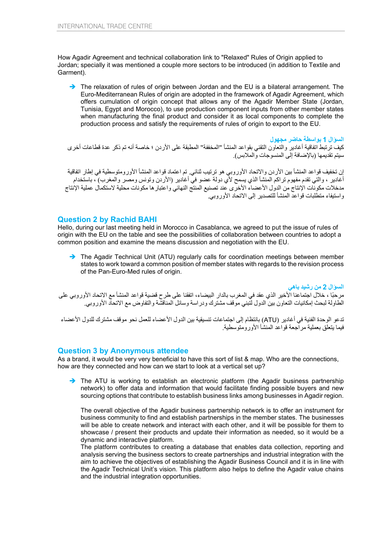How Agadir Agreement and technical collaboration link to "Relaxed" Rules of Origin applied to Jordan; specially it was mentioned a couple more sectors to be introduced (in addition to Textile and Garment).

The relaxation of rules of origin between Jordan and the EU is a bilateral arrangement. The Euro-Mediterranean Rules of origin are adopted in the framework of Agadir Agreement, which offers cumulation of origin concept that allows any of the Agadir Member State (Jordan, Tunisia, Egypt and Morocco), to use production component inputs from other member states when manufacturing the final product and consider it as local components to complete the production process and satisfy the requirements of rules of origin to export to the EU.

**السؤال 1 بواسطة حاضر مجھول** 

كیف ترتبط اتفاقیة أغادیر والتعاون التقني بقواعد المنشأ "المخففة" المطبقة على الأردن ؛ خاصة أنھ تم ذكر عدة قطاعات أخرى سیتم تقدیمھا (بالإضافة إلى المنسوجات والملابس).

إن تخفیف قواعد المنشأ بین الأردن والاتحاد الأوروبي ھو ترتیب ثنائي. تم اعتماد قواعد المنشأ الأورومتوسطیة في إطار اتفاقیة أغادیر ، والتي تقدم مفھوم تراكم المنشأ الذي یسمح لأي دولة عضو في أغادیر (الأردن وتونس ومصر والمغرب) ، باستخدام مدخلات مكونات الإنتاج من الدول الأعضاء الأخرى عند تصنیع المنتج النهائي واعتبار ها مكونات محلیة لاستكمال عملیة الإنتاج واستیفاء متطلبات قواعد المنشأ للتصدیر إلى الاتحاد الأوروبي.

## **Question 2 by Rachid BAHI**

Hello, during our last meeting held in Morocco in Casablanca, we agreed to put the issue of rules of origin with the EU on the table and see the possibilities of collaboration between countries to adopt a common position and examine the means discussion and negotiation with the EU.

→ The Agadir Technical Unit (ATU) regularly calls for coordination meetings between member states to work toward a common position of member states with regards to the revision process of the Pan-Euro-Med rules of origin.

**السؤال 2 من رشید باھي**  ً مرحبا ، خلال اجتماعنا الأخیر الذي عقد في المغرب بالدار البیضاء، اتفقنا على طرح قضیة قواعد المنشأ مع الاتحاد الأوروبي على الطاولة لبحث إمكانیات التعاون بین الدول لتبني موقف مشترك ودراسة وسائل المناقشة والتفاوض مع الاتحاد الأوروبي.

تدعو الوحدة الفنیة في أغادیر (ATU (بانتظام إلى اجتماعات تنسیقیة بین الدول الأعضاء للعمل نحو موقف مشترك للدول الأعضاء فیما یتعلق بعملیة مراجعة قواعد المنشأ الأورومتوسطیة.

#### **Question 3 by Anonymous attendee**

As a brand, it would be very very beneficial to have this sort of list & map. Who are the connections, how are they connected and how can we start to look at a vertical set up?

The ATU is working to establish an electronic platform (the Agadir business partnership network) to offer data and information that would facilitate finding possible buyers and new sourcing options that contribute to establish business links among businesses in Agadir region.

The overall objective of the Agadir business partnership network is to offer an instrument for business community to find and establish partnerships in the member states. The businesses will be able to create network and interact with each other, and it will be possible for them to showcase / present their products and update their information as needed, so it would be a dynamic and interactive platform.

The platform contributes to creating a database that enables data collection, reporting and analysis serving the business sectors to create partnerships and industrial integration with the aim to achieve the objectives of establishing the Agadir Business Council and it is in line with the Agadir Technical Unit's vision. This platform also helps to define the Agadir value chains and the industrial integration opportunities.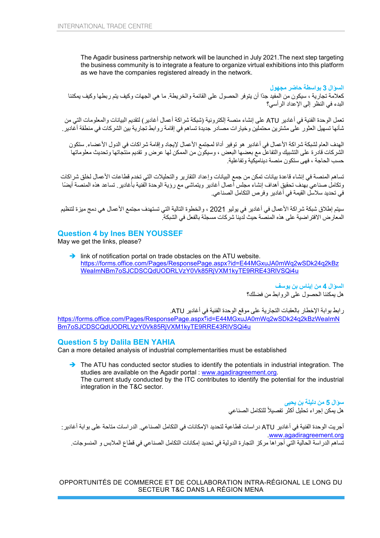The Agadir business partnership network will be launched in July 2021.The next step targeting the business community is to integrate a feature to organize virtual exhibitions into this platform as we have the companies registered already in the network.

**السؤال 3 بواسطة حاضر مجھول**  كعلامة تجاریة ، سیكون من المفید جدًا أن یتوفر الحصول على القائمة والخریطة. ما ھي الجھات وكیف یتم ربطھا وكیف یمكننا البدء في النظر إلى الإعداد الرأسي؟

تعمل الوحدة الفنیة في أغادیر ATU على إنشاء منصة إلكترونیة (شبكة شراكة أعمال أغادیر) لتقدیم البیانات والمعلومات التي من شأنھا تسھیل العثور على مشترین محتملین وخیارات مصادر جدیدة تساھم في إقامة روابط تجاریة بین الشركات في منطقة أغادیر.

الھدف العام لشبكة شراكة الأعمال في أغادیر ھو توفیر أداة لمجتمع الأعمال لإیجاد وإقامة شراكات في الدول الأعضاء. ست كون الشركات قادرة على التشبیك والتفاعل مع بعضها البعض ، وسیكون من الممكن لها عرض و تقدیم منتجاتها وتحدیث معلوماتها حسب الحاجة ، فھى ستكون منصة دینامیكی ة وتفاعلیة.

تساھم المنصة في إنشاء قاعدة بیانات تمكن من جمع البیانات وإعداد التقاریر والتحلیلات التي تخدم قطاعات الأعمال لخلق شراكات وتكامل صناعي بهدف تحقیق أهداف إنشاء مجلس أعمال أغادیر ویتماشى مع رؤیة الوحدة الفنیة بأغادیر . تساعد هذه المنصة أیضًا في تحدید سلاسل القیمة في أغادیر وفرص التكامل الصناعي.

سیتم إطلاق شبكة شراكة الأعمال في أغادیر في یولیو 2021 ، والخطوة التالیة التي تستھدف مجتمع الأعمال ھي دمج میزة لتنظیم المعارض الافتراضیة على ھذه المنصة حیث لدینا شركات مسجلة بالفعل في الشبكة.

### **Question 4 by Ines BEN YOUSSEF**

May we get the links, please?

 $\rightarrow$  link of notification portal on trade obstacles on the ATU website. [https://forms.office.com/Pages/ResponsePage.aspx?id=E44MGxuJA0mWq2wSDk24q2kBz](https://forms.office.com/Pages/ResponsePage.aspx?id=E44MGxuJA0mWq2wSDk24q2kBzWeaImNBm7oSJCDSCQdUODRLVzY0Vk85RjVXM1kyTE9RRE43RlVSQi4u) [WeaImNBm7oSJCDSCQdUODRLVzY0Vk85RjVXM1kyTE9RRE43RlVSQi4u](https://forms.office.com/Pages/ResponsePage.aspx?id=E44MGxuJA0mWq2wSDk24q2kBzWeaImNBm7oSJCDSCQdUODRLVzY0Vk85RjVXM1kyTE9RRE43RlVSQi4u)

> **السؤال 4 من إیناس بن یوسف**  ھل یمكننا الحصول على الروابط من فضلك؟

رابط بوابة الإخطار بالعقبات التجاریة على موقع الوحدة الفنیة في أغادیر ATU.

[https://forms.office.com/Pages/ResponsePage.aspx](https://forms.office.com/Pages/ResponsePage.aspx%D8%9Fid=E44MGxuJA0mWq2wSDk24q2kBzWeaImNBm7oSJCDSCQdUODRLVzY0Vk85RjVXM1kyTE9RRE43RlVSQi4u)؟id=E44MGxuJA0mWq2wSDk24q2kBzWeaImN [Bm7oSJCDSCQdUODRLVzY0Vk85RjVXM1kyTE9RRE43RlVSQi4u](https://forms.office.com/Pages/ResponsePage.aspx%D8%9Fid=E44MGxuJA0mWq2wSDk24q2kBzWeaImNBm7oSJCDSCQdUODRLVzY0Vk85RjVXM1kyTE9RRE43RlVSQi4u)

#### **Question 5 by Dalila BEN YAHIA**

Can a more detailed analysis of industrial complementarities must be established

The ATU has conducted sector studies to identify the potentials in industrial integration. The studies are available on the Agadir portal : [www.agadiragreement.org.](http://www.agadiragreement.org/) The current study conducted by the ITC contributes to identify the potential for the industrial integration in the T&C sector.

> **سؤال 5 من دلیلة بن یحیى**  هل يمكن إجراء تحليل أكثر تفصيلاً للتكامل الصناعي

أجریت الوحدة الفنیة في أغادیر ATU دراسات قطاعیة لتحدید الإمكانات في التكامل الصناعي. الدراسات متاحة على بوابة أغادیر: .[www.agadiragreement.org](http://www.agadiragreement.org/) تساھم الدراسة الحالیة التي أجراھا مركز التجارة الدولیة في تحدید إمكانات التكامل الصناعي في قطاع الملابس و المنسوجات.

OPPORTUNITÉS DE COMMERCE ET DE COLLABORATION INTRA-RÉGIONAL LE LONG DU SECTEUR T&C DANS LA RÉGION MENA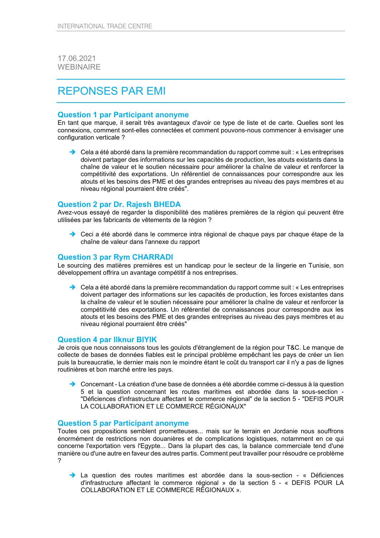17.06.2021 WEBINAIRE

## REPONSES PAR EMI

#### **Question 1 par Participant anonyme**

En tant que marque, il serait très avantageux d'avoir ce type de liste et de carte. Quelles sont les connexions, comment sont-elles connectées et comment pouvons-nous commencer à envisager une configuration verticale ?

 $\rightarrow$  Cela a été abordé dans la première recommandation du rapport comme suit : « Les entreprises doivent partager des informations sur les capacités de production, les atouts existants dans la chaîne de valeur et le soutien nécessaire pour améliorer la chaîne de valeur et renforcer la compétitivité des exportations. Un référentiel de connaissances pour correspondre aux les atouts et les besoins des PME et des grandes entreprises au niveau des pays membres et au niveau régional pourraient être créés".

#### **Question 2 par Dr. Rajesh BHEDA**

Avez-vous essayé de regarder la disponibilité des matières premières de la région qui peuvent être utilisées par les fabricants de vêtements de la région ?

→ Ceci a été abordé dans le commerce intra régional de chaque pays par chaque étape de la chaîne de valeur dans l'annexe du rapport

#### **Question 3 par Rym CHARRADI**

Le sourcing des matières premières est un handicap pour le secteur de la lingerie en Tunisie, son développement offrira un avantage compétitif à nos entreprises.

 $\rightarrow$  Cela a été abordé dans la première recommandation du rapport comme suit : « Les entreprises doivent partager des informations sur les capacités de production, les forces existantes dans la chaîne de valeur et le soutien nécessaire pour améliorer la chaîne de valeur et renforcer la compétitivité des exportations. Un référentiel de connaissances pour correspondre aux les atouts et les besoins des PME et des grandes entreprises au niveau des pays membres et au niveau régional pourraient être créés"

#### **Question 4 par Ilknur BIYIK**

Je crois que nous connaissons tous les goulots d'étranglement de la région pour T&C. Le manque de collecte de bases de données fiables est le principal problème empêchant les pays de créer un lien puis la bureaucratie, le dernier mais non le moindre étant le coût du transport car il n'y a pas de lignes routinières et bon marché entre les pays.

→ Concernant - La création d'une base de données a été abordée comme ci-dessus à la question 5 et la question concernant les routes maritimes est abordée dans la sous-section - "Déficiences d'infrastructure affectant le commerce régional" de la section 5 - "DEFIS POUR LA COLLABORATION ET LE COMMERCE RÉGIONAUX"

#### **Question 5 par Participant anonyme**

Toutes ces propositions semblent prometteuses... mais sur le terrain en Jordanie nous souffrons énormément de restrictions non douanières et de complications logistiques, notamment en ce qui concerne l'exportation vers l'Egypte... Dans la plupart des cas, la balance commerciale tend d'une manière ou d'une autre en faveur des autres partis. Comment peut travailler pour résoudre ce problème ?

 La question des routes maritimes est abordée dans la sous-section - « Déficiences d'infrastructure affectant le commerce régional » de la section 5 - « DEFIS POUR LA COLLABORATION ET LE COMMERCE RÉGIONAUX ».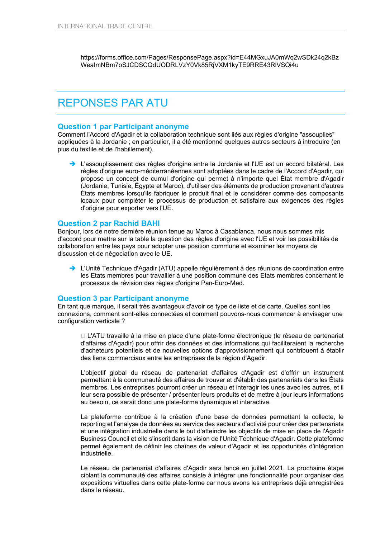https://forms.office.com/Pages/ResponsePage.aspx?id=E44MGxuJA0mWq2wSDk24q2kBz WeaImNBm7oSJCDSCQdUODRLVzY0Vk85RjVXM1kyTE9RRE43RlVSQi4u

## REPONSES PAR ATU

#### **Question 1 par Participant anonyme**

Comment l'Accord d'Agadir et la collaboration technique sont liés aux règles d'origine "assouplies" appliquées à la Jordanie ; en particulier, il a été mentionné quelques autres secteurs à introduire (en plus du textile et de l'habillement).

 L'assouplissement des règles d'origine entre la Jordanie et l'UE est un accord bilatéral. Les règles d'origine euro-méditerranéennes sont adoptées dans le cadre de l'Accord d'Agadir, qui propose un concept de cumul d'origine qui permet à n'importe quel État membre d'Agadir (Jordanie, Tunisie, Égypte et Maroc), d'utiliser des éléments de production provenant d'autres États membres lorsqu'ils fabriquer le produit final et le considérer comme des composants locaux pour compléter le processus de production et satisfaire aux exigences des règles d'origine pour exporter vers l'UE.

#### **Question 2 par Rachid BAHI**

Bonjour, lors de notre dernière réunion tenue au Maroc à Casablanca, nous nous sommes mis d'accord pour mettre sur la table la question des règles d'origine avec l'UE et voir les possibilités de collaboration entre les pays pour adopter une position commune et examiner les moyens de discussion et de négociation avec le UE.

 L'Unité Technique d'Agadir (ATU) appelle régulièrement à des réunions de coordination entre les Etats membres pour travailler à une position commune des Etats membres concernant le processus de révision des règles d'origine Pan-Euro-Med.

#### **Question 3 par Participant anonyme**

En tant que marque, il serait très avantageux d'avoir ce type de liste et de carte. Quelles sont les connexions, comment sont-elles connectées et comment pouvons-nous commencer à envisager une configuration verticale ?

□ L'ATU travaille à la mise en place d'une plate-forme électronique (le réseau de partenariat d'affaires d'Agadir) pour offrir des données et des informations qui faciliteraient la recherche d'acheteurs potentiels et de nouvelles options d'approvisionnement qui contribuent à établir des liens commerciaux entre les entreprises de la région d'Agadir.

L'objectif global du réseau de partenariat d'affaires d'Agadir est d'offrir un instrument permettant à la communauté des affaires de trouver et d'établir des partenariats dans les États membres. Les entreprises pourront créer un réseau et interagir les unes avec les autres, et il leur sera possible de présenter / présenter leurs produits et de mettre à jour leurs informations au besoin, ce serait donc une plate-forme dynamique et interactive.

La plateforme contribue à la création d'une base de données permettant la collecte, le reporting et l'analyse de données au service des secteurs d'activité pour créer des partenariats et une intégration industrielle dans le but d'atteindre les objectifs de mise en place de l'Agadir Business Council et elle s'inscrit dans la vision de l'Unité Technique d'Agadir. Cette plateforme permet également de définir les chaînes de valeur d'Agadir et les opportunités d'intégration industrielle.

Le réseau de partenariat d'affaires d'Agadir sera lancé en juillet 2021. La prochaine étape ciblant la communauté des affaires consiste à intégrer une fonctionnalité pour organiser des expositions virtuelles dans cette plate-forme car nous avons les entreprises déjà enregistrées dans le réseau.